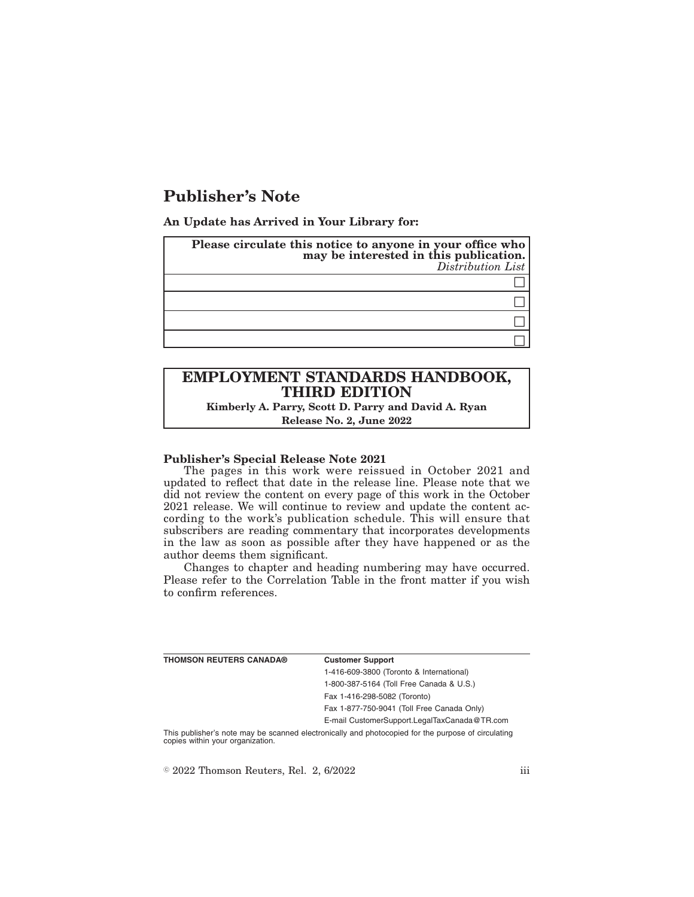# **Publisher's Note**

**An Update has Arrived in Your Library for:**

| Please circulate this notice to anyone in your office who<br>may be interested in this publication.<br>Distribution List |
|--------------------------------------------------------------------------------------------------------------------------|
|                                                                                                                          |
|                                                                                                                          |
|                                                                                                                          |
|                                                                                                                          |

# **EMPLOYMENT STANDARDS HANDBOOK, THIRD EDITION**

**Kimberly A. Parry, Scott D. Parry and David A. Ryan Release No. 2, June 2022**

#### **Publisher's Special Release Note 2021**

The pages in this work were reissued in October 2021 and updated to reflect that date in the release line. Please note that we did not review the content on every page of this work in the October 2021 release. We will continue to review and update the content according to the work's publication schedule. This will ensure that subscribers are reading commentary that incorporates developments in the law as soon as possible after they have happened or as the author deems them significant.

Changes to chapter and heading numbering may have occurred. Please refer to the Correlation Table in the front matter if you wish to confirm references.

| THOMSON REUTERS CANADA® | <b>Customer Support</b>                      |
|-------------------------|----------------------------------------------|
|                         | 1-416-609-3800 (Toronto & International)     |
|                         | 1-800-387-5164 (Toll Free Canada & U.S.)     |
|                         | Fax 1-416-298-5082 (Toronto)                 |
|                         | Fax 1-877-750-9041 (Toll Free Canada Only)   |
|                         | E-mail CustomerSupport.LegalTaxCanada@TR.com |
|                         |                                              |

This publisher's note may be scanned electronically and photocopied for the purpose of circulating copies within your organization.

 $\textdegree$  2022 Thomson Reuters, Rel. 2, 6/2022 iii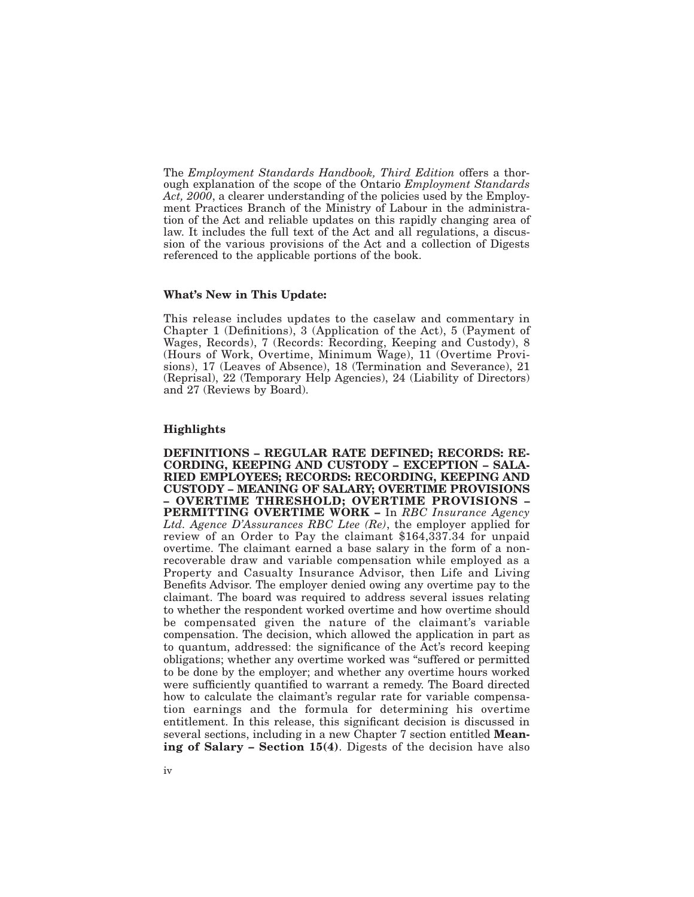The *Employment Standards Handbook, Third Edition* offers a thorough explanation of the scope of the Ontario *Employment Standards Act, 2000*, a clearer understanding of the policies used by the Employment Practices Branch of the Ministry of Labour in the administration of the Act and reliable updates on this rapidly changing area of law. It includes the full text of the Act and all regulations, a discussion of the various provisions of the Act and a collection of Digests referenced to the applicable portions of the book.

#### **What's New in This Update:**

This release includes updates to the caselaw and commentary in Chapter 1 (Definitions), 3 (Application of the Act), 5 (Payment of Wages, Records), 7 (Records: Recording, Keeping and Custody), 8 (Hours of Work, Overtime, Minimum Wage), 11 (Overtime Provisions), 17 (Leaves of Absence), 18 (Termination and Severance), 21 (Reprisal), 22 (Temporary Help Agencies), 24 (Liability of Directors) and 27 (Reviews by Board).

## **Highlights**

**DEFINITIONS – REGULAR RATE DEFINED; RECORDS: RE-CORDING, KEEPING AND CUSTODY – EXCEPTION – SALA-RIED EMPLOYEES; RECORDS: RECORDING, KEEPING AND CUSTODY – MEANING OF SALARY; OVERTIME PROVISIONS – OVERTIME THRESHOLD; OVERTIME PROVISIONS – PERMITTING OVERTIME WORK –** In *RBC Insurance Agency Ltd. Agence D'Assurances RBC Ltee (Re)*, the employer applied for review of an Order to Pay the claimant \$164,337.34 for unpaid overtime. The claimant earned a base salary in the form of a nonrecoverable draw and variable compensation while employed as a Property and Casualty Insurance Advisor, then Life and Living Benefits Advisor. The employer denied owing any overtime pay to the claimant. The board was required to address several issues relating to whether the respondent worked overtime and how overtime should be compensated given the nature of the claimant's variable compensation. The decision, which allowed the application in part as to quantum, addressed: the significance of the Act's record keeping obligations; whether any overtime worked was "suffered or permitted to be done by the employer; and whether any overtime hours worked were sufficiently quantified to warrant a remedy. The Board directed how to calculate the claimant's regular rate for variable compensation earnings and the formula for determining his overtime entitlement. In this release, this significant decision is discussed in several sections, including in a new Chapter 7 section entitled **Meaning of Salary – Section 15(4)**. Digests of the decision have also